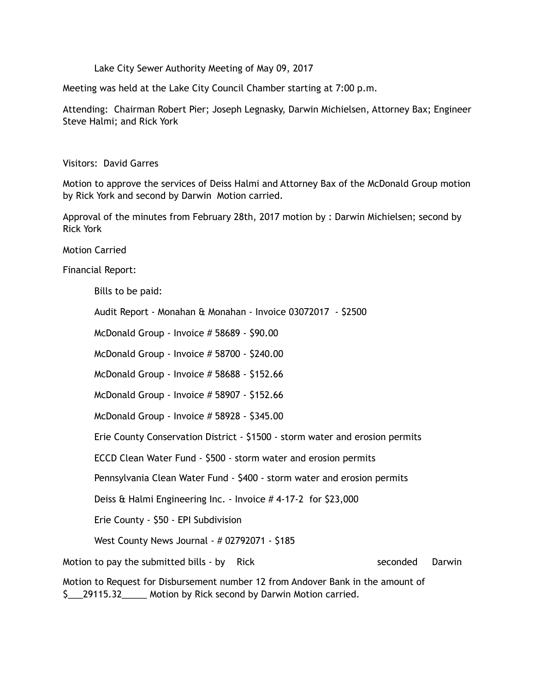Lake City Sewer Authority Meeting of May 09, 2017

Meeting was held at the Lake City Council Chamber starting at 7:00 p.m.

Attending: Chairman Robert Pier; Joseph Legnasky, Darwin Michielsen, Attorney Bax; Engineer Steve Halmi; and Rick York

Visitors: David Garres

Motion to approve the services of Deiss Halmi and Attorney Bax of the McDonald Group motion by Rick York and second by Darwin Motion carried.

Approval of the minutes from February 28th, 2017 motion by : Darwin Michielsen; second by Rick York

Motion Carried

Financial Report:

Bills to be paid:

Audit Report - Monahan & Monahan - Invoice 03072017 - \$2500

McDonald Group - Invoice # 58689 - \$90.00

McDonald Group - Invoice # 58700 - \$240.00

McDonald Group - Invoice # 58688 - \$152.66

McDonald Group - Invoice # 58907 - \$152.66

McDonald Group - Invoice # 58928 - \$345.00

Erie County Conservation District - \$1500 - storm water and erosion permits

ECCD Clean Water Fund - \$500 - storm water and erosion permits

Pennsylvania Clean Water Fund - \$400 - storm water and erosion permits

Deiss & Halmi Engineering Inc. - Invoice # 4-17-2 for \$23,000

Erie County - \$50 - EPI Subdivision

West County News Journal - # 02792071 - \$185

Motion to pay the submitted bills - by Rick seconded Darwin

Motion to Request for Disbursement number 12 from Andover Bank in the amount of \$ 29115.32 Motion by Rick second by Darwin Motion carried.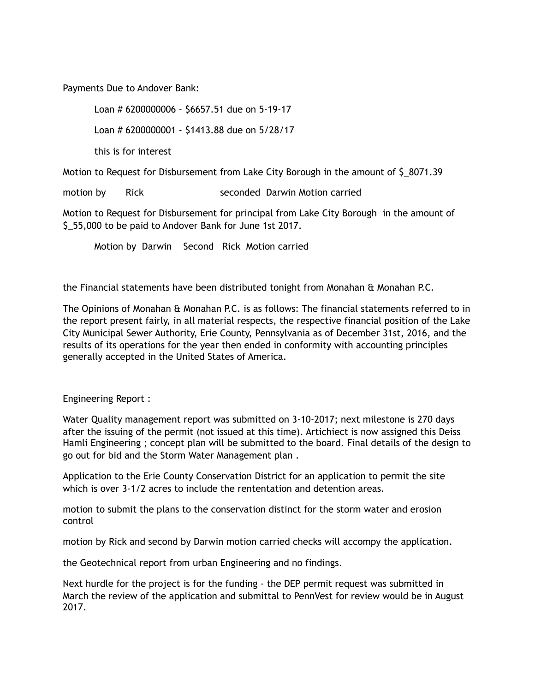Payments Due to Andover Bank:

Loan # 6200000006 - \$6657.51 due on 5-19-17

Loan # 6200000001 - \$1413.88 due on 5/28/17

this is for interest

Motion to Request for Disbursement from Lake City Borough in the amount of \$\_8071.39

motion by Rick seconded Darwin Motion carried

Motion to Request for Disbursement for principal from Lake City Borough in the amount of \$ 55,000 to be paid to Andover Bank for June 1st 2017.

Motion by Darwin Second Rick Motion carried

the Financial statements have been distributed tonight from Monahan & Monahan P.C.

The Opinions of Monahan & Monahan P.C. is as follows: The financial statements referred to in the report present fairly, in all material respects, the respective financial position of the Lake City Municipal Sewer Authority, Erie County, Pennsylvania as of December 31st, 2016, and the results of its operations for the year then ended in conformity with accounting principles generally accepted in the United States of America.

Engineering Report :

Water Quality management report was submitted on 3-10-2017; next milestone is 270 days after the issuing of the permit (not issued at this time). Artichiect is now assigned this Deiss Hamli Engineering ; concept plan will be submitted to the board. Final details of the design to go out for bid and the Storm Water Management plan .

Application to the Erie County Conservation District for an application to permit the site which is over 3-1/2 acres to include the rententation and detention areas.

motion to submit the plans to the conservation distinct for the storm water and erosion control

motion by Rick and second by Darwin motion carried checks will accompy the application.

the Geotechnical report from urban Engineering and no findings.

Next hurdle for the project is for the funding - the DEP permit request was submitted in March the review of the application and submittal to PennVest for review would be in August 2017.